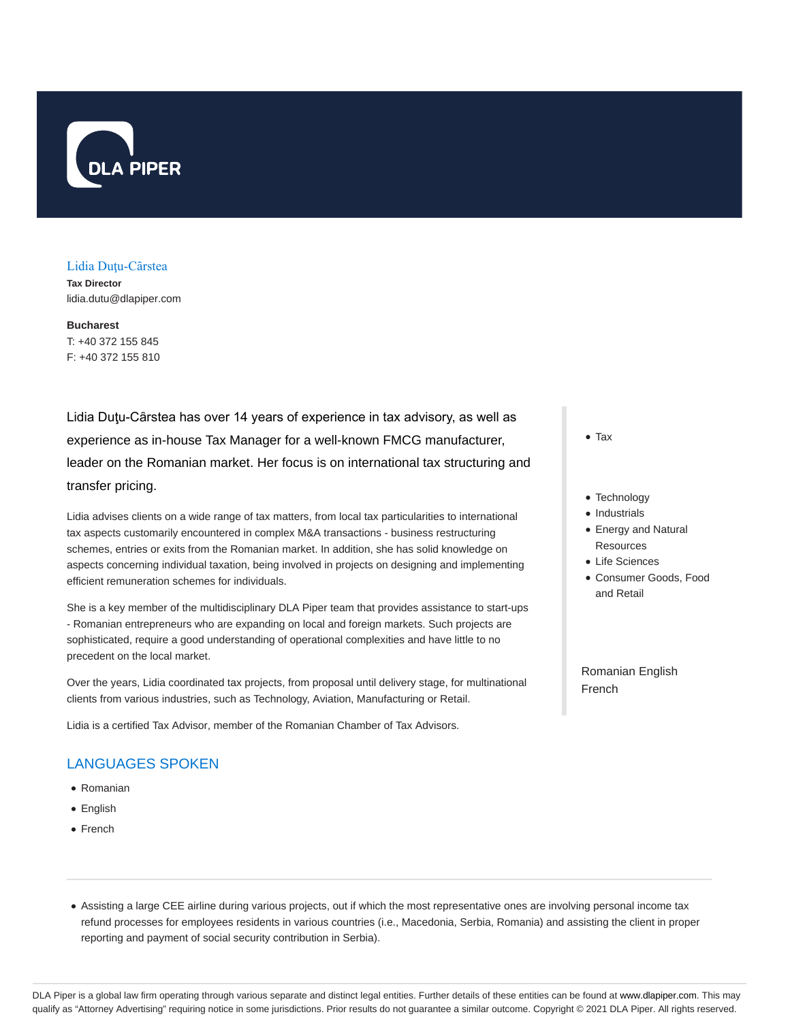

#### Lidia Duţu-Cȃrstea

**Tax Director** lidia.dutu@dlapiper.com

**Bucharest** T: +40 372 155 845 F: +40 372 155 810

Lidia Duţu-Cȃrstea has over 14 years of experience in tax advisory, as well as experience as in-house Tax Manager for a well-known FMCG manufacturer, leader on the Romanian market. Her focus is on international tax structuring and transfer pricing.

Lidia advises clients on a wide range of tax matters, from local tax particularities to international tax aspects customarily encountered in complex M&A transactions - business restructuring schemes, entries or exits from the Romanian market. In addition, she has solid knowledge on aspects concerning individual taxation, being involved in projects on designing and implementing efficient remuneration schemes for individuals.

She is a key member of the multidisciplinary DLA Piper team that provides assistance to start-ups - Romanian entrepreneurs who are expanding on local and foreign markets. Such projects are sophisticated, require a good understanding of operational complexities and have little to no precedent on the local market.

Over the years, Lidia coordinated tax projects, from proposal until delivery stage, for multinational clients from various industries, such as Technology, Aviation, Manufacturing or Retail.

Lidia is a certified Tax Advisor, member of the Romanian Chamber of Tax Advisors.

# LANGUAGES SPOKEN

- Romanian
- English
- French

Tax

- Technology
- Industrials
- Energy and Natural Resources
- Life Sciences
- Consumer Goods, Food and Retail

Romanian English French

Assisting a large CEE airline during various projects, out if which the most representative ones are involving personal income tax refund processes for employees residents in various countries (i.e., Macedonia, Serbia, Romania) and assisting the client in proper reporting and payment of social security contribution in Serbia).

DLA Piper is a global law firm operating through various separate and distinct legal entities. Further details of these entities can be found at www.dlapiper.com. This may qualify as "Attorney Advertising" requiring notice in some jurisdictions. Prior results do not guarantee a similar outcome. Copyright @ 2021 DLA Piper. All rights reserved.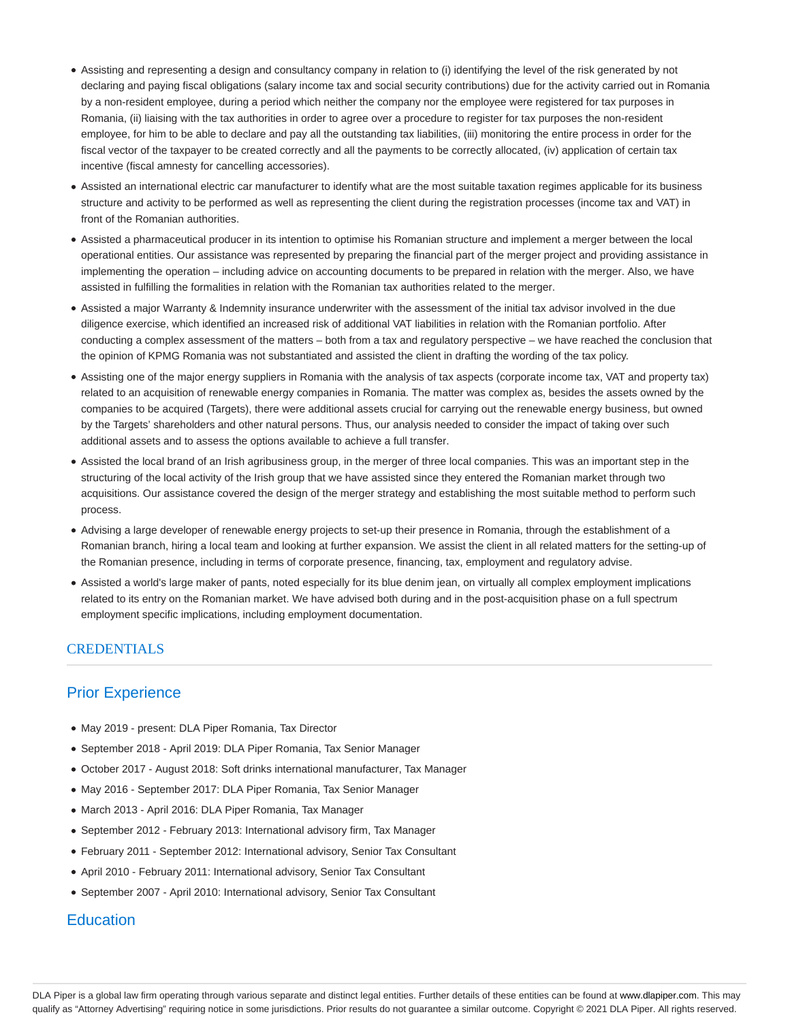- Assisting and representing a design and consultancy company in relation to (i) identifying the level of the risk generated by not declaring and paying fiscal obligations (salary income tax and social security contributions) due for the activity carried out in Romania by a non-resident employee, during a period which neither the company nor the employee were registered for tax purposes in Romania, (ii) liaising with the tax authorities in order to agree over a procedure to register for tax purposes the non-resident employee, for him to be able to declare and pay all the outstanding tax liabilities, (iii) monitoring the entire process in order for the fiscal vector of the taxpayer to be created correctly and all the payments to be correctly allocated, (iv) application of certain tax incentive (fiscal amnesty for cancelling accessories).
- Assisted an international electric car manufacturer to identify what are the most suitable taxation regimes applicable for its business structure and activity to be performed as well as representing the client during the registration processes (income tax and VAT) in front of the Romanian authorities.
- Assisted a pharmaceutical producer in its intention to optimise his Romanian structure and implement a merger between the local operational entities. Our assistance was represented by preparing the financial part of the merger project and providing assistance in implementing the operation – including advice on accounting documents to be prepared in relation with the merger. Also, we have assisted in fulfilling the formalities in relation with the Romanian tax authorities related to the merger.
- Assisted a major Warranty & Indemnity insurance underwriter with the assessment of the initial tax advisor involved in the due diligence exercise, which identified an increased risk of additional VAT liabilities in relation with the Romanian portfolio. After conducting a complex assessment of the matters – both from a tax and regulatory perspective – we have reached the conclusion that the opinion of KPMG Romania was not substantiated and assisted the client in drafting the wording of the tax policy.
- Assisting one of the major energy suppliers in Romania with the analysis of tax aspects (corporate income tax, VAT and property tax) related to an acquisition of renewable energy companies in Romania. The matter was complex as, besides the assets owned by the companies to be acquired (Targets), there were additional assets crucial for carrying out the renewable energy business, but owned by the Targets' shareholders and other natural persons. Thus, our analysis needed to consider the impact of taking over such additional assets and to assess the options available to achieve a full transfer.
- Assisted the local brand of an Irish agribusiness group, in the merger of three local companies. This was an important step in the structuring of the local activity of the Irish group that we have assisted since they entered the Romanian market through two acquisitions. Our assistance covered the design of the merger strategy and establishing the most suitable method to perform such process.
- Advising a large developer of renewable energy projects to set-up their presence in Romania, through the establishment of a Romanian branch, hiring a local team and looking at further expansion. We assist the client in all related matters for the setting-up of the Romanian presence, including in terms of corporate presence, financing, tax, employment and regulatory advise.
- Assisted a world's large maker of pants, noted especially for its blue denim jean, on virtually all complex employment implications related to its entry on the Romanian market. We have advised both during and in the post-acquisition phase on a full spectrum employment specific implications, including employment documentation.

### **CREDENTIALS**

## Prior Experience

- May 2019 present: DLA Piper Romania, Tax Director
- September 2018 April 2019: DLA Piper Romania, Tax Senior Manager
- October 2017 August 2018: Soft drinks international manufacturer, Tax Manager
- May 2016 September 2017: DLA Piper Romania, Tax Senior Manager
- March 2013 April 2016: DLA Piper Romania, Tax Manager
- September 2012 February 2013: International advisory firm, Tax Manager
- February 2011 September 2012: International advisory, Senior Tax Consultant
- April 2010 February 2011: International advisory, Senior Tax Consultant
- September 2007 April 2010: International advisory, Senior Tax Consultant

### **Education**